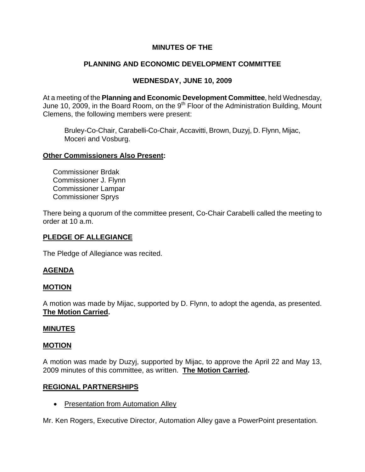# **MINUTES OF THE**

# **PLANNING AND ECONOMIC DEVELOPMENT COMMITTEE**

# **WEDNESDAY, JUNE 10, 2009**

At a meeting of the **Planning and Economic Development Committee**, held Wednesday, June 10, 2009, in the Board Room, on the  $9<sup>th</sup>$  Floor of the Administration Building, Mount Clemens, the following members were present:

Bruley-Co-Chair, Carabelli-Co-Chair, Accavitti, Brown, Duzyj, D. Flynn, Mijac, Moceri and Vosburg.

### **Other Commissioners Also Present:**

 Commissioner Brdak Commissioner J. Flynn Commissioner Lampar Commissioner Sprys

There being a quorum of the committee present, Co-Chair Carabelli called the meeting to order at 10 a.m.

## **PLEDGE OF ALLEGIANCE**

The Pledge of Allegiance was recited.

## **AGENDA**

### **MOTION**

A motion was made by Mijac, supported by D. Flynn, to adopt the agenda, as presented. **The Motion Carried.** 

### **MINUTES**

### **MOTION**

A motion was made by Duzyj, supported by Mijac, to approve the April 22 and May 13, 2009 minutes of this committee, as written. **The Motion Carried.** 

### **REGIONAL PARTNERSHIPS**

• Presentation from Automation Alley

Mr. Ken Rogers, Executive Director, Automation Alley gave a PowerPoint presentation.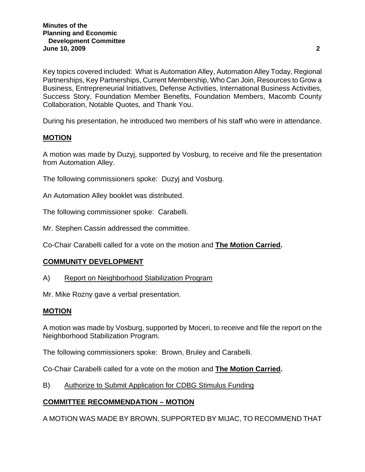Key topics covered included: What is Automation Alley, Automation Alley Today, Regional Partnerships, Key Partnerships, Current Membership, Who Can Join, Resources to Grow a Business, Entrepreneurial Initiatives, Defense Activities, International Business Activities, Success Story, Foundation Member Benefits, Foundation Members, Macomb County Collaboration, Notable Quotes, and Thank You.

During his presentation, he introduced two members of his staff who were in attendance.

### **MOTION**

A motion was made by Duzyj, supported by Vosburg, to receive and file the presentation from Automation Alley.

The following commissioners spoke: Duzyj and Vosburg.

An Automation Alley booklet was distributed.

The following commissioner spoke: Carabelli.

Mr. Stephen Cassin addressed the committee.

Co-Chair Carabelli called for a vote on the motion and **The Motion Carried.** 

### **COMMUNITY DEVELOPMENT**

A) Report on Neighborhood Stabilization Program

Mr. Mike Rozny gave a verbal presentation.

### **MOTION**

A motion was made by Vosburg, supported by Moceri, to receive and file the report on the Neighborhood Stabilization Program.

The following commissioners spoke: Brown, Bruley and Carabelli.

Co-Chair Carabelli called for a vote on the motion and **The Motion Carried.** 

B) Authorize to Submit Application for CDBG Stimulus Funding

## **COMMITTEE RECOMMENDATION – MOTION**

A MOTION WAS MADE BY BROWN, SUPPORTED BY MIJAC, TO RECOMMEND THAT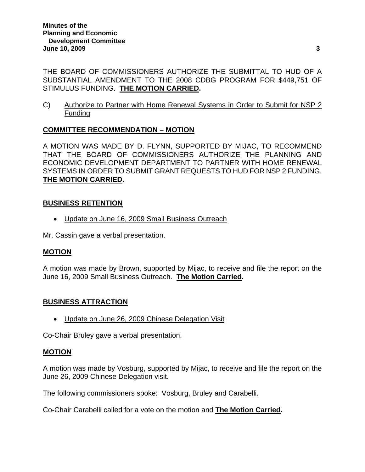THE BOARD OF COMMISSIONERS AUTHORIZE THE SUBMITTAL TO HUD OF A SUBSTANTIAL AMENDMENT TO THE 2008 CDBG PROGRAM FOR \$449,751 OF STIMULUS FUNDING. **THE MOTION CARRIED.** 

C) Authorize to Partner with Home Renewal Systems in Order to Submit for NSP 2 Funding

# **COMMITTEE RECOMMENDATION – MOTION**

A MOTION WAS MADE BY D. FLYNN, SUPPORTED BY MIJAC, TO RECOMMEND THAT THE BOARD OF COMMISSIONERS AUTHORIZE THE PLANNING AND ECONOMIC DEVELOPMENT DEPARTMENT TO PARTNER WITH HOME RENEWAL SYSTEMS IN ORDER TO SUBMIT GRANT REQUESTS TO HUD FOR NSP 2 FUNDING. **THE MOTION CARRIED.** 

## **BUSINESS RETENTION**

• Update on June 16, 2009 Small Business Outreach

Mr. Cassin gave a verbal presentation.

## **MOTION**

A motion was made by Brown, supported by Mijac, to receive and file the report on the June 16, 2009 Small Business Outreach. **The Motion Carried.** 

## **BUSINESS ATTRACTION**

• Update on June 26, 2009 Chinese Delegation Visit

Co-Chair Bruley gave a verbal presentation.

## **MOTION**

A motion was made by Vosburg, supported by Mijac, to receive and file the report on the June 26, 2009 Chinese Delegation visit.

The following commissioners spoke: Vosburg, Bruley and Carabelli.

Co-Chair Carabelli called for a vote on the motion and **The Motion Carried.**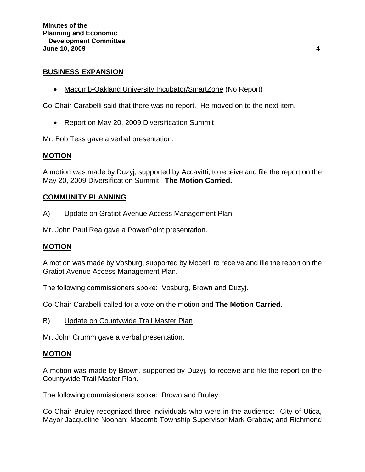### **BUSINESS EXPANSION**

• Macomb-Oakland University Incubator/SmartZone (No Report)

Co-Chair Carabelli said that there was no report. He moved on to the next item.

• Report on May 20, 2009 Diversification Summit

Mr. Bob Tess gave a verbal presentation.

### **MOTION**

A motion was made by Duzyj, supported by Accavitti, to receive and file the report on the May 20, 2009 Diversification Summit. **The Motion Carried.** 

### **COMMUNITY PLANNING**

A) Update on Gratiot Avenue Access Management Plan

Mr. John Paul Rea gave a PowerPoint presentation.

### **MOTION**

A motion was made by Vosburg, supported by Moceri, to receive and file the report on the Gratiot Avenue Access Management Plan.

The following commissioners spoke: Vosburg, Brown and Duzyj.

Co-Chair Carabelli called for a vote on the motion and **The Motion Carried.** 

B) Update on Countywide Trail Master Plan

Mr. John Crumm gave a verbal presentation.

### **MOTION**

A motion was made by Brown, supported by Duzyj, to receive and file the report on the Countywide Trail Master Plan.

The following commissioners spoke: Brown and Bruley.

Co-Chair Bruley recognized three individuals who were in the audience: City of Utica, Mayor Jacqueline Noonan; Macomb Township Supervisor Mark Grabow; and Richmond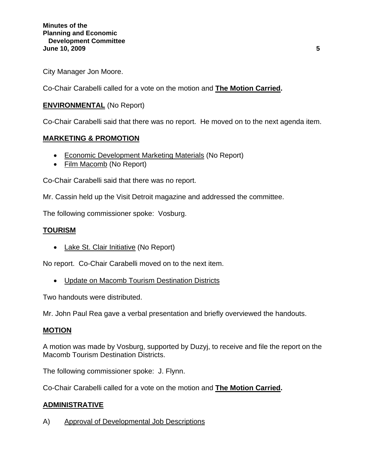City Manager Jon Moore.

Co-Chair Carabelli called for a vote on the motion and **The Motion Carried.** 

## **ENVIRONMENTAL** (No Report)

Co-Chair Carabelli said that there was no report. He moved on to the next agenda item.

### **MARKETING & PROMOTION**

- Economic Development Marketing Materials (No Report)
- Film Macomb (No Report)

Co-Chair Carabelli said that there was no report.

Mr. Cassin held up the Visit Detroit magazine and addressed the committee.

The following commissioner spoke: Vosburg.

## **TOURISM**

• Lake St. Clair Initiative (No Report)

No report. Co-Chair Carabelli moved on to the next item.

• Update on Macomb Tourism Destination Districts

Two handouts were distributed.

Mr. John Paul Rea gave a verbal presentation and briefly overviewed the handouts.

### **MOTION**

A motion was made by Vosburg, supported by Duzyj, to receive and file the report on the Macomb Tourism Destination Districts.

The following commissioner spoke: J. Flynn.

Co-Chair Carabelli called for a vote on the motion and **The Motion Carried.** 

## **ADMINISTRATIVE**

A) Approval of Developmental Job Descriptions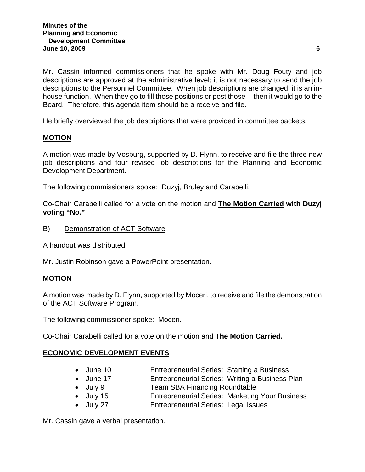Mr. Cassin informed commissioners that he spoke with Mr. Doug Fouty and job descriptions are approved at the administrative level; it is not necessary to send the job descriptions to the Personnel Committee. When job descriptions are changed, it is an inhouse function. When they go to fill those positions or post those -- then it would go to the Board. Therefore, this agenda item should be a receive and file.

He briefly overviewed the job descriptions that were provided in committee packets.

## **MOTION**

A motion was made by Vosburg, supported by D. Flynn, to receive and file the three new job descriptions and four revised job descriptions for the Planning and Economic Development Department.

The following commissioners spoke: Duzyj, Bruley and Carabelli.

Co-Chair Carabelli called for a vote on the motion and **The Motion Carried with Duzyj voting "No."** 

B) Demonstration of ACT Software

A handout was distributed.

Mr. Justin Robinson gave a PowerPoint presentation.

## **MOTION**

A motion was made by D. Flynn, supported by Moceri, to receive and file the demonstration of the ACT Software Program.

The following commissioner spoke: Moceri.

Co-Chair Carabelli called for a vote on the motion and **The Motion Carried.** 

## **ECONOMIC DEVELOPMENT EVENTS**

- June 10 Entrepreneurial Series: Starting a Business
- June 17 Entrepreneurial Series: Writing a Business Plan
- July 9 **Team SBA Financing Roundtable**
- July 15 Entrepreneurial Series: Marketing Your Business
- July 27 Entrepreneurial Series: Legal Issues

Mr. Cassin gave a verbal presentation.